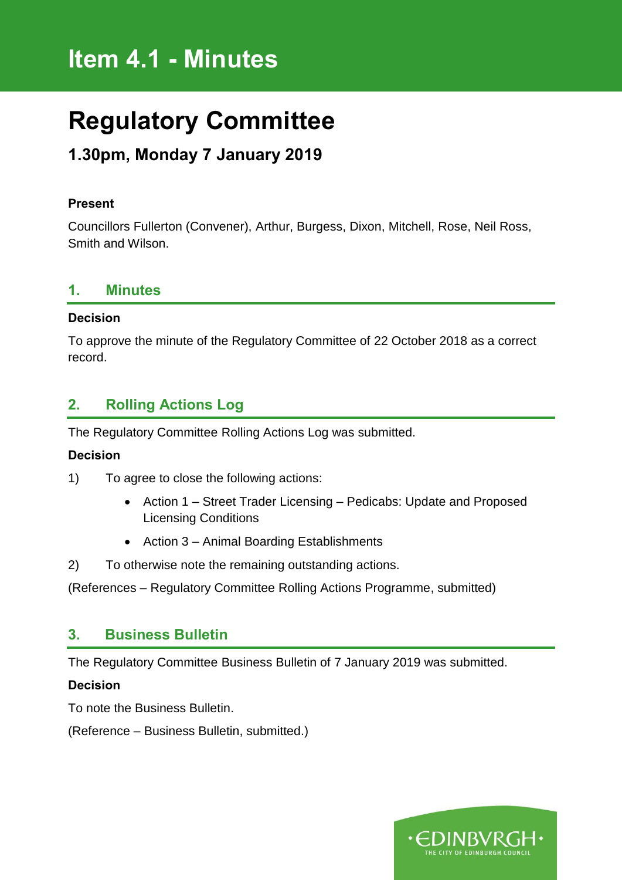# **Item 4.1 - Minutes**

# **Regulatory Committee**

# **1.30pm, Monday 7 January 2019**

#### **Present**

Councillors Fullerton (Convener), Arthur, Burgess, Dixon, Mitchell, Rose, Neil Ross, Smith and Wilson.

#### **1. Minutes**

#### **Decision**

To approve the minute of the Regulatory Committee of 22 October 2018 as a correct record.

### **2. Rolling Actions Log**

The Regulatory Committee Rolling Actions Log was submitted.

#### **Decision**

- 1) To agree to close the following actions:
	- Action 1 Street Trader Licensing Pedicabs: Update and Proposed Licensing Conditions
	- Action 3 Animal Boarding Establishments
- 2) To otherwise note the remaining outstanding actions.

(References – Regulatory Committee Rolling Actions Programme, submitted)

#### **3. Business Bulletin**

The Regulatory Committee Business Bulletin of 7 January 2019 was submitted.

#### **Decision**

To note the Business Bulletin.

(Reference – Business Bulletin, submitted.)

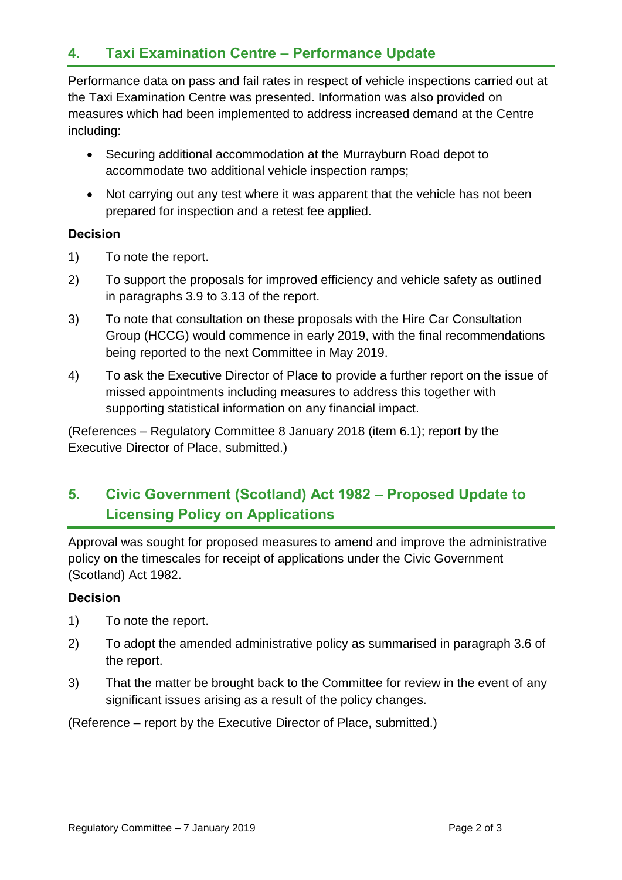## **4. Taxi Examination Centre – Performance Update**

Performance data on pass and fail rates in respect of vehicle inspections carried out at the Taxi Examination Centre was presented. Information was also provided on measures which had been implemented to address increased demand at the Centre including:

- Securing additional accommodation at the Murrayburn Road depot to accommodate two additional vehicle inspection ramps;
- Not carrying out any test where it was apparent that the vehicle has not been prepared for inspection and a retest fee applied.

#### **Decision**

- 1) To note the report.
- 2) To support the proposals for improved efficiency and vehicle safety as outlined in paragraphs 3.9 to 3.13 of the report.
- 3) To note that consultation on these proposals with the Hire Car Consultation Group (HCCG) would commence in early 2019, with the final recommendations being reported to the next Committee in May 2019.
- 4) To ask the Executive Director of Place to provide a further report on the issue of missed appointments including measures to address this together with supporting statistical information on any financial impact.

(References – Regulatory Committee 8 January 2018 (item 6.1); report by the Executive Director of Place, submitted.)

# **5. Civic Government (Scotland) Act 1982 – Proposed Update to Licensing Policy on Applications**

Approval was sought for proposed measures to amend and improve the administrative policy on the timescales for receipt of applications under the Civic Government (Scotland) Act 1982.

#### **Decision**

- 1) To note the report.
- 2) To adopt the amended administrative policy as summarised in paragraph 3.6 of the report.
- 3) That the matter be brought back to the Committee for review in the event of any significant issues arising as a result of the policy changes.

(Reference – report by the Executive Director of Place, submitted.)